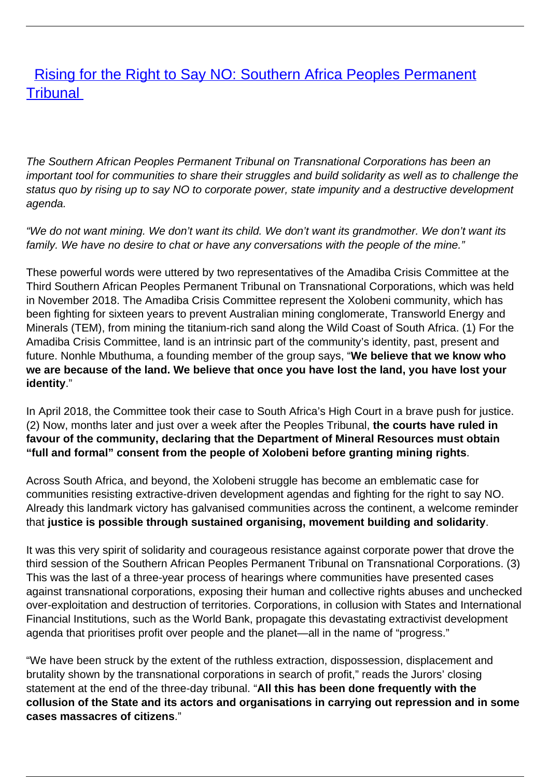## **[Rising for the Right to Say NO: Southern Africa Peoples Permanent](/bulletin-articles/rising-for-the-right-to-say-no-southern-africa-peoples-permanent-tribunal) [Tribunal](/bulletin-articles/rising-for-the-right-to-say-no-southern-africa-peoples-permanent-tribunal)**

The Southern African Peoples Permanent Tribunal on Transnational Corporations has been an important tool for communities to share their struggles and build solidarity as well as to challenge the status quo by rising up to say NO to corporate power, state impunity and a destructive development agenda.

"We do not want mining. We don't want its child. We don't want its grandmother. We don't want its family. We have no desire to chat or have any conversations with the people of the mine."

These powerful words were uttered by two representatives of the Amadiba Crisis Committee at the Third Southern African Peoples Permanent Tribunal on Transnational Corporations, which was held in November 2018. The Amadiba Crisis Committee represent the Xolobeni community, which has been fighting for sixteen years to prevent Australian mining conglomerate, Transworld Energy and Minerals (TEM), from mining the titanium-rich sand along the Wild Coast of South Africa. (1) For the Amadiba Crisis Committee, land is an intrinsic part of the community's identity, past, present and future. Nonhle Mbuthuma, a founding member of the group says, "**We believe that we know who we are because of the land. We believe that once you have lost the land, you have lost your identity**."

In April 2018, the Committee took their case to South Africa's High Court in a brave push for justice. (2) Now, months later and just over a week after the Peoples Tribunal, **the courts have ruled in favour of the community, declaring that the Department of Mineral Resources must obtain "full and formal" consent from the people of Xolobeni before granting mining rights**.

Across South Africa, and beyond, the Xolobeni struggle has become an emblematic case for communities resisting extractive-driven development agendas and fighting for the right to say NO. Already this landmark victory has galvanised communities across the continent, a welcome reminder that **justice is possible through sustained organising, movement building and solidarity**.

It was this very spirit of solidarity and courageous resistance against corporate power that drove the third session of the Southern African Peoples Permanent Tribunal on Transnational Corporations. (3) This was the last of a three-year process of hearings where communities have presented cases against transnational corporations, exposing their human and collective rights abuses and unchecked over-exploitation and destruction of territories. Corporations, in collusion with States and International Financial Institutions, such as the World Bank, propagate this devastating extractivist development agenda that prioritises profit over people and the planet—all in the name of "progress."

"We have been struck by the extent of the ruthless extraction, dispossession, displacement and brutality shown by the transnational corporations in search of profit," reads the Jurors' closing statement at the end of the three-day tribunal. "**All this has been done frequently with the collusion of the State and its actors and organisations in carrying out repression and in some cases massacres of citizens**."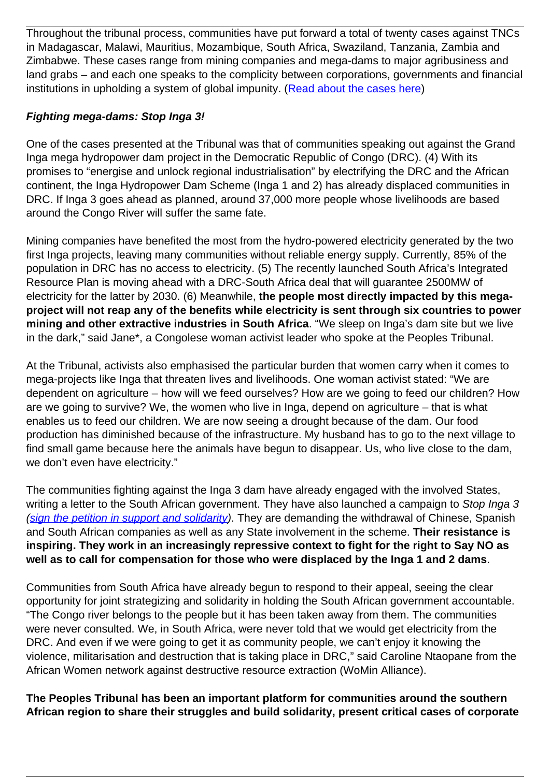Throughout the tribunal process, communities have put forward a total of twenty cases against TNCs in Madagascar, Malawi, Mauritius, Mozambique, South Africa, Swaziland, Tanzania, Zambia and Zimbabwe. These cases range from mining companies and mega-dams to major agribusiness and land grabs – and each one speaks to the complicity between corporations, governments and financial institutions in upholding a system of global impunity. ([Read about the cases here\)](https://wrm.us9.list-manage.com/track/click?u=f91b651f7fecdf835b57dc11d&id=6148d74d3f&e=d8e27bd4ab)

## **Fighting mega-dams: Stop Inga 3!**

One of the cases presented at the Tribunal was that of communities speaking out against the Grand Inga mega hydropower dam project in the Democratic Republic of Congo (DRC). (4) With its promises to "energise and unlock regional industrialisation" by electrifying the DRC and the African continent, the Inga Hydropower Dam Scheme (Inga 1 and 2) has already displaced communities in DRC. If Inga 3 goes ahead as planned, around 37,000 more people whose livelihoods are based around the Congo River will suffer the same fate.

Mining companies have benefited the most from the hydro-powered electricity generated by the two first Inga projects, leaving many communities without reliable energy supply. Currently, 85% of the population in DRC has no access to electricity. (5) The recently launched South Africa's Integrated Resource Plan is moving ahead with a DRC-South Africa deal that will guarantee 2500MW of electricity for the latter by 2030. (6) Meanwhile, **the people most directly impacted by this megaproject will not reap any of the benefits while electricity is sent through six countries to power mining and other extractive industries in South Africa**. "We sleep on Inga's dam site but we live in the dark," said Jane\*, a Congolese woman activist leader who spoke at the Peoples Tribunal.

At the Tribunal, activists also emphasised the particular burden that women carry when it comes to mega-projects like Inga that threaten lives and livelihoods. One woman activist stated: "We are dependent on agriculture – how will we feed ourselves? How are we going to feed our children? How are we going to survive? We, the women who live in Inga, depend on agriculture – that is what enables us to feed our children. We are now seeing a drought because of the dam. Our food production has diminished because of the infrastructure. My husband has to go to the next village to find small game because here the animals have begun to disappear. Us, who live close to the dam, we don't even have electricity."

The communities fighting against the Inga 3 dam have already engaged with the involved States, writing a letter to the South African government. They have also launched a campaign to Stop Inga 3 [\(sign the petition in support and solidarity](https://wrm.us9.list-manage.com/track/click?u=f91b651f7fecdf835b57dc11d&id=e35ffb4254&e=d8e27bd4ab)). They are demanding the withdrawal of Chinese, Spanish and South African companies as well as any State involvement in the scheme. **Their resistance is inspiring. They work in an increasingly repressive context to fight for the right to Say NO as well as to call for compensation for those who were displaced by the Inga 1 and 2 dams**.

Communities from South Africa have already begun to respond to their appeal, seeing the clear opportunity for joint strategizing and solidarity in holding the South African government accountable. "The Congo river belongs to the people but it has been taken away from them. The communities were never consulted. We, in South Africa, were never told that we would get electricity from the DRC. And even if we were going to get it as community people, we can't enjoy it knowing the violence, militarisation and destruction that is taking place in DRC," said Caroline Ntaopane from the African Women network against destructive resource extraction (WoMin Alliance).

**The Peoples Tribunal has been an important platform for communities around the southern African region to share their struggles and build solidarity, present critical cases of corporate**